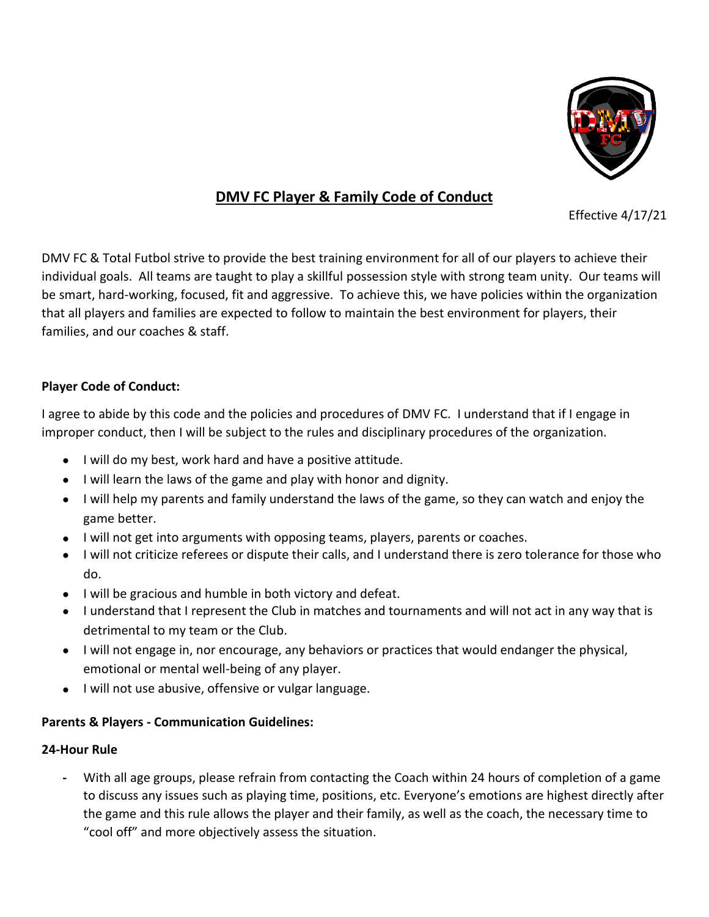

# **DMV FC Player & Family Code of Conduct**

Effective 4/17/21

DMV FC & Total Futbol strive to provide the best training environment for all of our players to achieve their individual goals. All teams are taught to play a skillful possession style with strong team unity. Our teams will be smart, hard-working, focused, fit and aggressive. To achieve this, we have policies within the organization that all players and families are expected to follow to maintain the best environment for players, their families, and our coaches & staff.

#### **Player Code of Conduct:**

I agree to abide by this code and the policies and procedures of DMV FC. I understand that if I engage in improper conduct, then I will be subject to the rules and disciplinary procedures of the organization.

- I will do my best, work hard and have a positive attitude.
- I will learn the laws of the game and play with honor and dignity.
- I will help my parents and family understand the laws of the game, so they can watch and enjoy the game better.
- I will not get into arguments with opposing teams, players, parents or coaches.
- I will not criticize referees or dispute their calls, and I understand there is zero tolerance for those who do.
- I will be gracious and humble in both victory and defeat.
- I understand that I represent the Club in matches and tournaments and will not act in any way that is detrimental to my team or the Club.
- I will not engage in, nor encourage, any behaviors or practices that would endanger the physical, emotional or mental well-being of any player.
- I will not use abusive, offensive or vulgar language.

#### **Parents & Players - Communication Guidelines:**

#### **24-Hour Rule**

**-** With all age groups, please refrain from contacting the Coach within 24 hours of completion of a game to discuss any issues such as playing time, positions, etc. Everyone's emotions are highest directly after the game and this rule allows the player and their family, as well as the coach, the necessary time to "cool off" and more objectively assess the situation.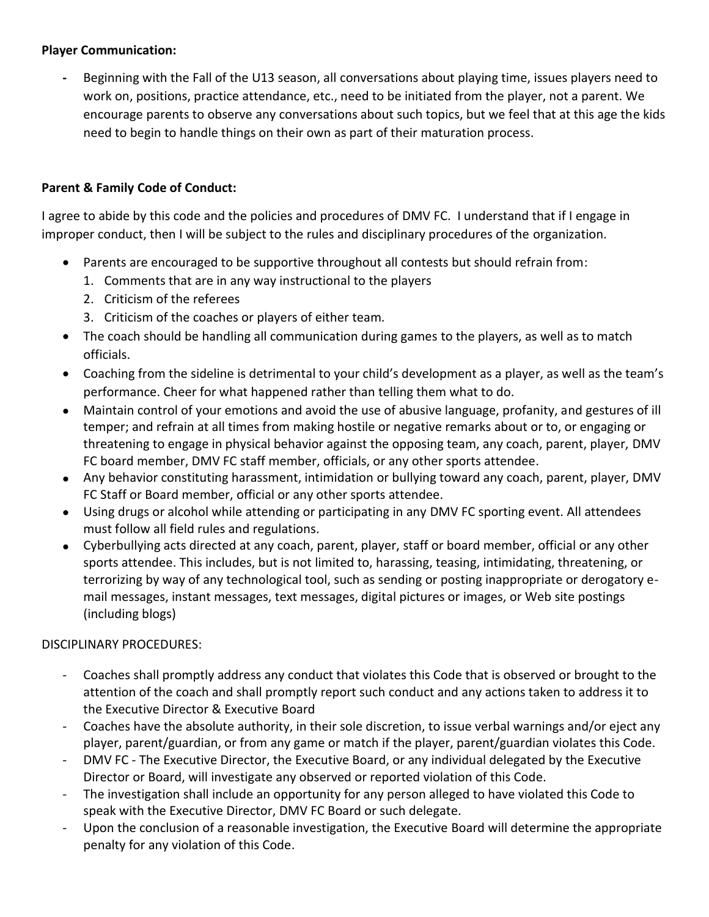### **Player Communication:**

**-** Beginning with the Fall of the U13 season, all conversations about playing time, issues players need to work on, positions, practice attendance, etc., need to be initiated from the player, not a parent. We encourage parents to observe any conversations about such topics, but we feel that at this age the kids need to begin to handle things on their own as part of their maturation process.

## **Parent & Family Code of Conduct:**

I agree to abide by this code and the policies and procedures of DMV FC. I understand that if I engage in improper conduct, then I will be subject to the rules and disciplinary procedures of the organization.

- Parents are encouraged to be supportive throughout all contests but should refrain from:
	- 1. Comments that are in any way instructional to the players
	- 2. Criticism of the referees
	- 3. Criticism of the coaches or players of either team.
- The coach should be handling all communication during games to the players, as well as to match officials.
- Coaching from the sideline is detrimental to your child's development as a player, as well as the team's performance. Cheer for what happened rather than telling them what to do.
- Maintain control of your emotions and avoid the use of abusive language, profanity, and gestures of ill temper; and refrain at all times from making hostile or negative remarks about or to, or engaging or threatening to engage in physical behavior against the opposing team, any coach, parent, player, DMV FC board member, DMV FC staff member, officials, or any other sports attendee.
- Any behavior constituting harassment, intimidation or bullying toward any coach, parent, player, DMV FC Staff or Board member, official or any other sports attendee.
- Using drugs or alcohol while attending or participating in any DMV FC sporting event. All attendees must follow all field rules and regulations.
- Cyberbullying acts directed at any coach, parent, player, staff or board member, official or any other sports attendee. This includes, but is not limited to, harassing, teasing, intimidating, threatening, or terrorizing by way of any technological tool, such as sending or posting inappropriate or derogatory email messages, instant messages, text messages, digital pictures or images, or Web site postings (including blogs)

#### DISCIPLINARY PROCEDURES:

- Coaches shall promptly address any conduct that violates this Code that is observed or brought to the attention of the coach and shall promptly report such conduct and any actions taken to address it to the Executive Director & Executive Board
- Coaches have the absolute authority, in their sole discretion, to issue verbal warnings and/or eject any player, parent/guardian, or from any game or match if the player, parent/guardian violates this Code.
- DMV FC The Executive Director, the Executive Board, or any individual delegated by the Executive Director or Board, will investigate any observed or reported violation of this Code.
- The investigation shall include an opportunity for any person alleged to have violated this Code to speak with the Executive Director, DMV FC Board or such delegate.
- Upon the conclusion of a reasonable investigation, the Executive Board will determine the appropriate penalty for any violation of this Code.